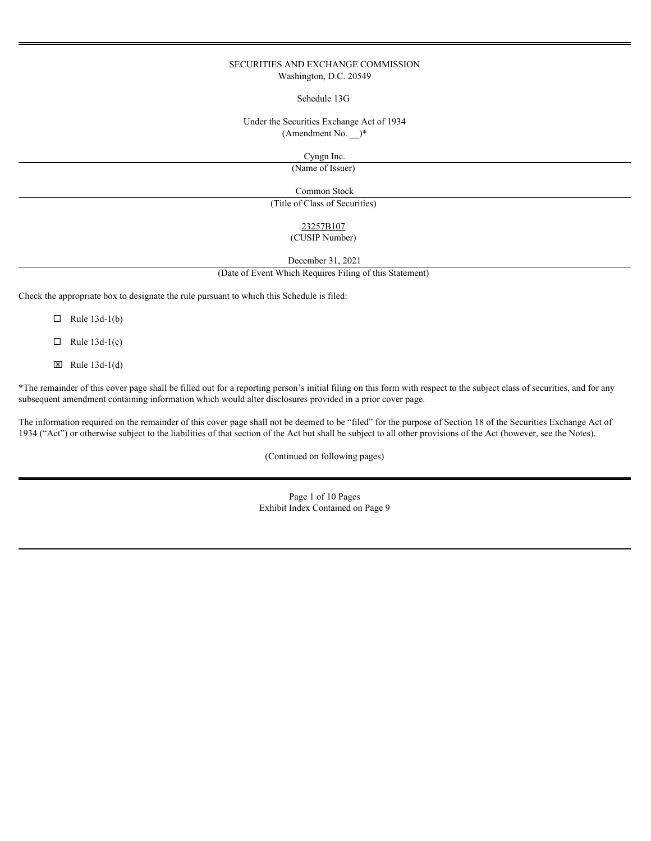# SECURITIES AND EXCHANGE COMMISSION Washington, D.C. 20549

Schedule 13G

Under the Securities Exchange Act of 1934 (Amendment No. \_\_)\*

Cyngn Inc.

(Name of Issuer)

Common Stock

(Title of Class of Securities)

# 23257B107

# (CUSIP Number)

December 31, 2021

(Date of Event Which Requires Filing of this Statement)

Check the appropriate box to designate the rule pursuant to which this Schedule is filed:

 $\Box$  Rule 13d-1(b)

 $\Box$  Rule 13d-1(c)

 $\boxtimes$  Rule 13d-1(d)

\*The remainder of this cover page shall be filled out for a reporting person's initial filing on this form with respect to the subject class of securities, and for any subsequent amendment containing information which would alter disclosures provided in a prior cover page.

The information required on the remainder of this cover page shall not be deemed to be "filed" for the purpose of Section 18 of the Securities Exchange Act of 1934 ("Act") or otherwise subject to the liabilities of that section of the Act but shall be subject to all other provisions of the Act (however, see the Notes).

(Continued on following pages)

Page 1 of 10 Pages Exhibit Index Contained on Page 9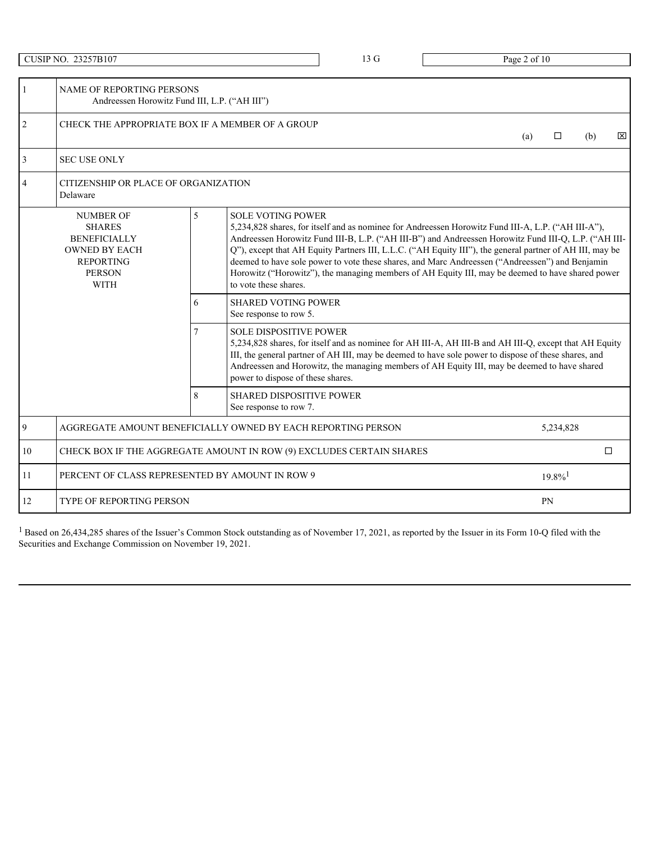|                | <b>CUSIP NO. 23257B107</b>                                                                                                           |                                                                                                                                                                                                                                                                           | 13 G | Page 2 of 10                                                                                                                                                                                                                                                                                                                                                                                                                                                                                                                                                                                                                                                                                                                                                                                                                                    |                               |
|----------------|--------------------------------------------------------------------------------------------------------------------------------------|---------------------------------------------------------------------------------------------------------------------------------------------------------------------------------------------------------------------------------------------------------------------------|------|-------------------------------------------------------------------------------------------------------------------------------------------------------------------------------------------------------------------------------------------------------------------------------------------------------------------------------------------------------------------------------------------------------------------------------------------------------------------------------------------------------------------------------------------------------------------------------------------------------------------------------------------------------------------------------------------------------------------------------------------------------------------------------------------------------------------------------------------------|-------------------------------|
|                | NAME OF REPORTING PERSONS<br>Andreessen Horowitz Fund III, L.P. ("AH III")                                                           |                                                                                                                                                                                                                                                                           |      |                                                                                                                                                                                                                                                                                                                                                                                                                                                                                                                                                                                                                                                                                                                                                                                                                                                 |                               |
| 2              |                                                                                                                                      | CHECK THE APPROPRIATE BOX IF A MEMBER OF A GROUP                                                                                                                                                                                                                          |      | (a)                                                                                                                                                                                                                                                                                                                                                                                                                                                                                                                                                                                                                                                                                                                                                                                                                                             | $\Box$<br>$\mathbf{x}$<br>(b) |
| 3              | <b>SEC USE ONLY</b>                                                                                                                  |                                                                                                                                                                                                                                                                           |      |                                                                                                                                                                                                                                                                                                                                                                                                                                                                                                                                                                                                                                                                                                                                                                                                                                                 |                               |
|                | CITIZENSHIP OR PLACE OF ORGANIZATION<br>Delaware                                                                                     |                                                                                                                                                                                                                                                                           |      |                                                                                                                                                                                                                                                                                                                                                                                                                                                                                                                                                                                                                                                                                                                                                                                                                                                 |                               |
|                | <b>NUMBER OF</b><br><b>SHARES</b><br><b>BENEFICIALLY</b><br><b>OWNED BY EACH</b><br><b>REPORTING</b><br><b>PERSON</b><br><b>WITH</b> | <b>SOLE VOTING POWER</b><br>$5\overline{)}$<br>to vote these shares.<br><b>SHARED VOTING POWER</b><br>6<br>See response to row 5.<br><b>SOLE DISPOSITIVE POWER</b><br>power to dispose of these shares.<br>8<br><b>SHARED DISPOSITIVE POWER</b><br>See response to row 7. |      | 5,234,828 shares, for itself and as nominee for Andreessen Horowitz Fund III-A, L.P. ("AH III-A"),<br>Andreessen Horowitz Fund III-B, L.P. ("AH III-B") and Andreessen Horowitz Fund III-Q, L.P. ("AH III-<br>Q"), except that AH Equity Partners III, L.L.C. ("AH Equity III"), the general partner of AH III, may be<br>deemed to have sole power to vote these shares, and Marc Andreessen ("Andreessen") and Benjamin<br>Horowitz ("Horowitz"), the managing members of AH Equity III, may be deemed to have shared power<br>5,234,828 shares, for itself and as nominee for AH III-A, AH III-B and AH III-Q, except that AH Equity<br>III, the general partner of AH III, may be deemed to have sole power to dispose of these shares, and<br>Andreessen and Horowitz, the managing members of AH Equity III, may be deemed to have shared |                               |
| $\overline{9}$ |                                                                                                                                      | AGGREGATE AMOUNT BENEFICIALLY OWNED BY EACH REPORTING PERSON                                                                                                                                                                                                              |      |                                                                                                                                                                                                                                                                                                                                                                                                                                                                                                                                                                                                                                                                                                                                                                                                                                                 | 5,234,828                     |
| 10             |                                                                                                                                      | CHECK BOX IF THE AGGREGATE AMOUNT IN ROW (9) EXCLUDES CERTAIN SHARES                                                                                                                                                                                                      |      |                                                                                                                                                                                                                                                                                                                                                                                                                                                                                                                                                                                                                                                                                                                                                                                                                                                 | $\Box$                        |
| 11             |                                                                                                                                      | PERCENT OF CLASS REPRESENTED BY AMOUNT IN ROW 9                                                                                                                                                                                                                           |      |                                                                                                                                                                                                                                                                                                                                                                                                                                                                                                                                                                                                                                                                                                                                                                                                                                                 | $19.8\%$ <sup>1</sup>         |
| 12             | <b>TYPE OF REPORTING PERSON</b>                                                                                                      |                                                                                                                                                                                                                                                                           |      |                                                                                                                                                                                                                                                                                                                                                                                                                                                                                                                                                                                                                                                                                                                                                                                                                                                 | PN                            |

 $1$  Based on 26,434,285 shares of the Issuer's Common Stock outstanding as of November 17, 2021, as reported by the Issuer in its Form 10-Q filed with the Securities and Exchange Commission on November 19, 2021.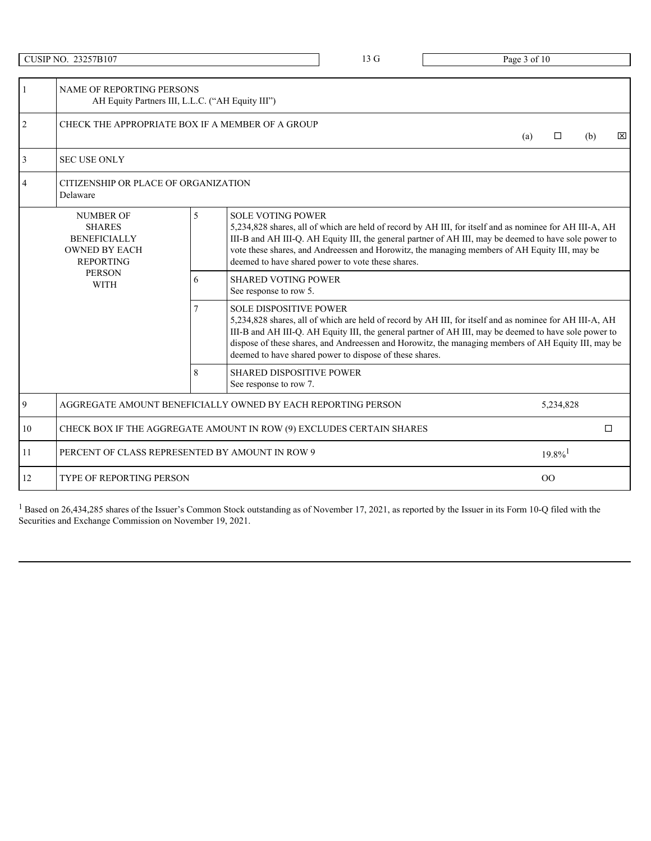|               | <b>CUSIP NO. 23257B107</b>                                                                           |                                                                      | 13 G                                                    | Page 3 of 10                                                                                                                                                                                                                                                                                                            |                               |
|---------------|------------------------------------------------------------------------------------------------------|----------------------------------------------------------------------|---------------------------------------------------------|-------------------------------------------------------------------------------------------------------------------------------------------------------------------------------------------------------------------------------------------------------------------------------------------------------------------------|-------------------------------|
|               | NAME OF REPORTING PERSONS<br>AH Equity Partners III, L.L.C. ("AH Equity III")                        |                                                                      |                                                         |                                                                                                                                                                                                                                                                                                                         |                               |
| $\mathcal{L}$ |                                                                                                      | CHECK THE APPROPRIATE BOX IF A MEMBER OF A GROUP                     |                                                         | (a)                                                                                                                                                                                                                                                                                                                     | $\Box$<br>$\mathbf{x}$<br>(b) |
|               | <b>SEC USE ONLY</b>                                                                                  |                                                                      |                                                         |                                                                                                                                                                                                                                                                                                                         |                               |
|               | <b>CITIZENSHIP OR PLACE OF ORGANIZATION</b><br>Delaware                                              |                                                                      |                                                         |                                                                                                                                                                                                                                                                                                                         |                               |
|               | <b>NUMBER OF</b><br><b>SHARES</b><br><b>BENEFICIALLY</b><br><b>OWNED BY EACH</b><br><b>REPORTING</b> | $\overline{5}$<br><b>SOLE VOTING POWER</b>                           | deemed to have shared power to vote these shares.       | 5,234,828 shares, all of which are held of record by AH III, for itself and as nominee for AH III-A, AH<br>III-B and AH III-Q. AH Equity III, the general partner of AH III, may be deemed to have sole power to<br>vote these shares, and Andreessen and Horowitz, the managing members of AH Equity III, may be       |                               |
|               | <b>PERSON</b><br><b>WITH</b>                                                                         | <b>SHARED VOTING POWER</b><br>6<br>See response to row 5.            |                                                         |                                                                                                                                                                                                                                                                                                                         |                               |
|               |                                                                                                      | <b>SOLE DISPOSITIVE POWER</b>                                        | deemed to have shared power to dispose of these shares. | 5,234,828 shares, all of which are held of record by AH III, for itself and as nominee for AH III-A, AH<br>III-B and AH III-Q. AH Equity III, the general partner of AH III, may be deemed to have sole power to<br>dispose of these shares, and Andreessen and Horowitz, the managing members of AH Equity III, may be |                               |
|               |                                                                                                      | 8<br>SHARED DISPOSITIVE POWER<br>See response to row 7.              |                                                         |                                                                                                                                                                                                                                                                                                                         |                               |
| 9             |                                                                                                      | AGGREGATE AMOUNT BENEFICIALLY OWNED BY EACH REPORTING PERSON         |                                                         |                                                                                                                                                                                                                                                                                                                         | 5,234,828                     |
| 10            |                                                                                                      | CHECK BOX IF THE AGGREGATE AMOUNT IN ROW (9) EXCLUDES CERTAIN SHARES |                                                         |                                                                                                                                                                                                                                                                                                                         | $\Box$                        |
| 11            | PERCENT OF CLASS REPRESENTED BY AMOUNT IN ROW 9                                                      |                                                                      |                                                         |                                                                                                                                                                                                                                                                                                                         | $19.8\%$ <sup>1</sup>         |
| 12            | <b>TYPE OF REPORTING PERSON</b>                                                                      |                                                                      |                                                         |                                                                                                                                                                                                                                                                                                                         | O <sub>O</sub>                |

 $1$  Based on 26,434,285 shares of the Issuer's Common Stock outstanding as of November 17, 2021, as reported by the Issuer in its Form 10-Q filed with the Securities and Exchange Commission on November 19, 2021.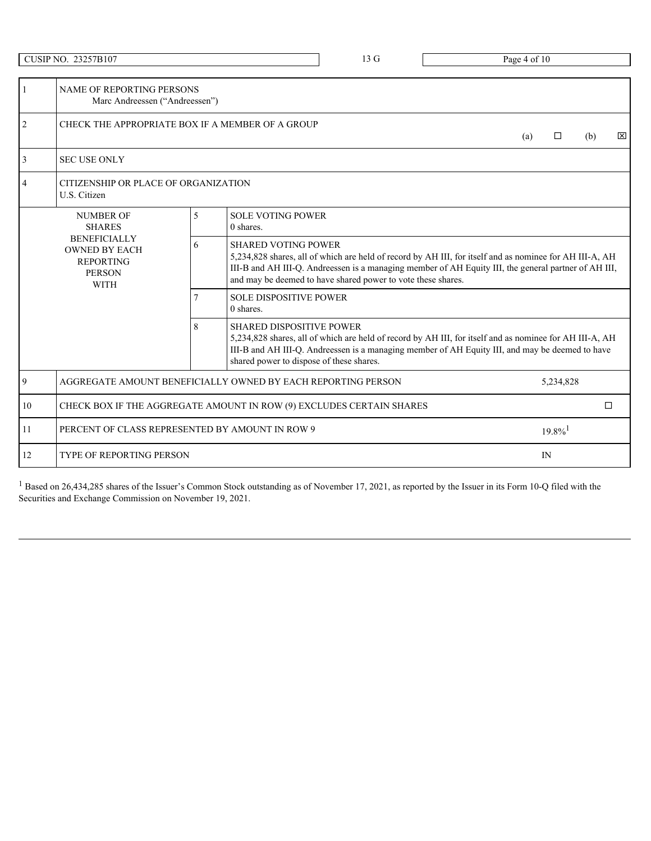|                | <b>CUSIP NO. 23257B107</b>                                                                      |   |                                                                             | 13 G                                                         | Page 4 of 10                                                                                                                                                                                                    |                              |  |  |
|----------------|-------------------------------------------------------------------------------------------------|---|-----------------------------------------------------------------------------|--------------------------------------------------------------|-----------------------------------------------------------------------------------------------------------------------------------------------------------------------------------------------------------------|------------------------------|--|--|
|                |                                                                                                 |   |                                                                             |                                                              |                                                                                                                                                                                                                 |                              |  |  |
|                | <b>NAME OF REPORTING PERSONS</b><br>Marc Andreessen ("Andreessen")                              |   |                                                                             |                                                              |                                                                                                                                                                                                                 |                              |  |  |
| $\overline{2}$ | CHECK THE APPROPRIATE BOX IF A MEMBER OF A GROUP                                                |   |                                                                             |                                                              | (a)                                                                                                                                                                                                             | $\boxtimes$<br>$\Box$<br>(b) |  |  |
|                | <b>SEC USE ONLY</b>                                                                             |   |                                                                             |                                                              |                                                                                                                                                                                                                 |                              |  |  |
|                | CITIZENSHIP OR PLACE OF ORGANIZATION<br>U.S. Citizen                                            |   |                                                                             |                                                              |                                                                                                                                                                                                                 |                              |  |  |
|                | <b>NUMBER OF</b><br><b>SHARES</b>                                                               | 5 | <b>SOLE VOTING POWER</b><br>0 shares.                                       |                                                              |                                                                                                                                                                                                                 |                              |  |  |
|                | <b>BENEFICIALLY</b><br><b>OWNED BY EACH</b><br><b>REPORTING</b><br><b>PERSON</b><br><b>WITH</b> | 6 | <b>SHARED VOTING POWER</b>                                                  | and may be deemed to have shared power to vote these shares. | 5,234,828 shares, all of which are held of record by AH III, for itself and as nominee for AH III-A, AH<br>III-B and AH III-Q. Andreessen is a managing member of AH Equity III, the general partner of AH III, |                              |  |  |
|                |                                                                                                 |   | <b>SOLE DISPOSITIVE POWER</b><br>0 shares.                                  |                                                              |                                                                                                                                                                                                                 |                              |  |  |
|                |                                                                                                 | 8 | <b>SHARED DISPOSITIVE POWER</b><br>shared power to dispose of these shares. |                                                              | 5,234,828 shares, all of which are held of record by AH III, for itself and as nominee for AH III-A, AH<br>III-B and AH III-Q. Andreessen is a managing member of AH Equity III, and may be deemed to have      |                              |  |  |
| $\mathbf Q$    | AGGREGATE AMOUNT BENEFICIALLY OWNED BY EACH REPORTING PERSON                                    |   |                                                                             |                                                              |                                                                                                                                                                                                                 | 5,234,828                    |  |  |
| 10             | CHECK BOX IF THE AGGREGATE AMOUNT IN ROW (9) EXCLUDES CERTAIN SHARES                            |   |                                                                             |                                                              |                                                                                                                                                                                                                 | $\Box$                       |  |  |
| 11             | PERCENT OF CLASS REPRESENTED BY AMOUNT IN ROW 9                                                 |   |                                                                             |                                                              |                                                                                                                                                                                                                 | $19.8\%$ <sup>1</sup>        |  |  |
| 12             | TYPE OF REPORTING PERSON                                                                        |   |                                                                             |                                                              |                                                                                                                                                                                                                 | IN                           |  |  |

 $<sup>1</sup>$  Based on 26,434,285 shares of the Issuer's Common Stock outstanding as of November 17, 2021, as reported by the Issuer in its Form 10-Q filed with the</sup> Securities and Exchange Commission on November 19, 2021.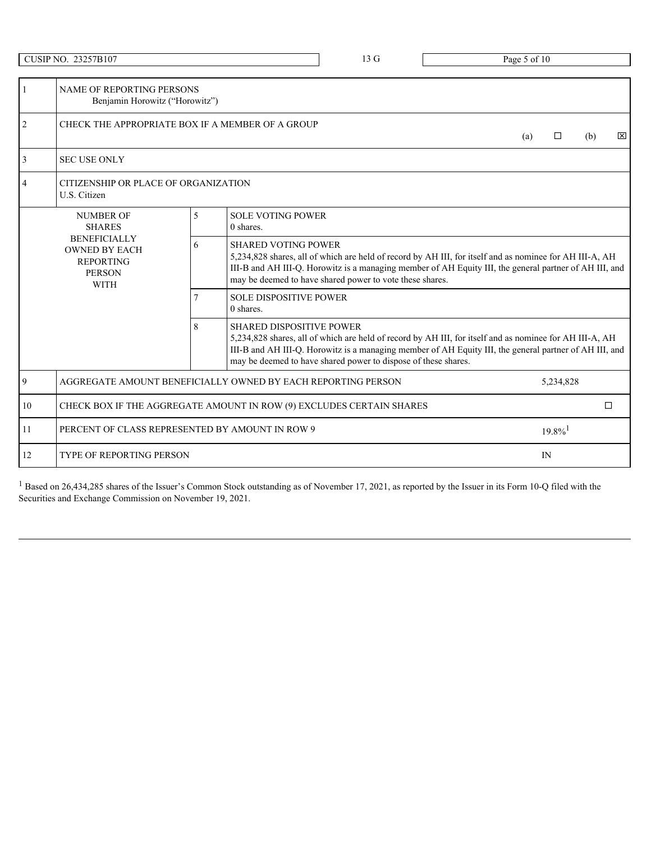|                | <b>CUSIP NO. 23257B107</b>                                                                      |   |                                                                                                                                                                                                                                                                                                             | 13 G                                                           | Page 5 of 10                                                                                                                                                                                                      |               |             |  |
|----------------|-------------------------------------------------------------------------------------------------|---|-------------------------------------------------------------------------------------------------------------------------------------------------------------------------------------------------------------------------------------------------------------------------------------------------------------|----------------------------------------------------------------|-------------------------------------------------------------------------------------------------------------------------------------------------------------------------------------------------------------------|---------------|-------------|--|
|                | NAME OF REPORTING PERSONS                                                                       |   |                                                                                                                                                                                                                                                                                                             |                                                                |                                                                                                                                                                                                                   |               |             |  |
|                | Benjamin Horowitz ("Horowitz")                                                                  |   |                                                                                                                                                                                                                                                                                                             |                                                                |                                                                                                                                                                                                                   |               |             |  |
| $\overline{2}$ | CHECK THE APPROPRIATE BOX IF A MEMBER OF A GROUP                                                |   |                                                                                                                                                                                                                                                                                                             |                                                                | (a)                                                                                                                                                                                                               | $\Box$<br>(b) | $\boxtimes$ |  |
|                | <b>SEC USE ONLY</b>                                                                             |   |                                                                                                                                                                                                                                                                                                             |                                                                |                                                                                                                                                                                                                   |               |             |  |
|                | CITIZENSHIP OR PLACE OF ORGANIZATION<br>U.S. Citizen                                            |   |                                                                                                                                                                                                                                                                                                             |                                                                |                                                                                                                                                                                                                   |               |             |  |
|                | <b>NUMBER OF</b><br><b>SHARES</b>                                                               |   | <b>SOLE VOTING POWER</b><br>0 shares.                                                                                                                                                                                                                                                                       |                                                                |                                                                                                                                                                                                                   |               |             |  |
|                | <b>BENEFICIALLY</b><br><b>OWNED BY EACH</b><br><b>REPORTING</b><br><b>PERSON</b><br><b>WITH</b> | 6 | <b>SHARED VOTING POWER</b><br>5,234,828 shares, all of which are held of record by AH III, for itself and as nominee for AH III-A, AH<br>III-B and AH III-Q. Horowitz is a managing member of AH Equity III, the general partner of AH III, and<br>may be deemed to have shared power to vote these shares. |                                                                |                                                                                                                                                                                                                   |               |             |  |
|                |                                                                                                 |   | <b>SOLE DISPOSITIVE POWER</b><br>0 shares.                                                                                                                                                                                                                                                                  |                                                                |                                                                                                                                                                                                                   |               |             |  |
|                |                                                                                                 | 8 | <b>SHARED DISPOSITIVE POWER</b>                                                                                                                                                                                                                                                                             | may be deemed to have shared power to dispose of these shares. | 5,234,828 shares, all of which are held of record by AH III, for itself and as nominee for AH III-A, AH<br>III-B and AH III-Q. Horowitz is a managing member of AH Equity III, the general partner of AH III, and |               |             |  |
| 9              | AGGREGATE AMOUNT BENEFICIALLY OWNED BY EACH REPORTING PERSON                                    |   |                                                                                                                                                                                                                                                                                                             |                                                                |                                                                                                                                                                                                                   | 5,234,828     |             |  |
| 10             | CHECK BOX IF THE AGGREGATE AMOUNT IN ROW (9) EXCLUDES CERTAIN SHARES                            |   |                                                                                                                                                                                                                                                                                                             |                                                                |                                                                                                                                                                                                                   | $\Box$        |             |  |
| 11             | PERCENT OF CLASS REPRESENTED BY AMOUNT IN ROW 9                                                 |   |                                                                                                                                                                                                                                                                                                             |                                                                |                                                                                                                                                                                                                   | $19.8\%$      |             |  |
| 12             | TYPE OF REPORTING PERSON                                                                        |   |                                                                                                                                                                                                                                                                                                             |                                                                |                                                                                                                                                                                                                   | IN            |             |  |

 $<sup>1</sup>$  Based on 26,434,285 shares of the Issuer's Common Stock outstanding as of November 17, 2021, as reported by the Issuer in its Form 10-Q filed with the</sup> Securities and Exchange Commission on November 19, 2021.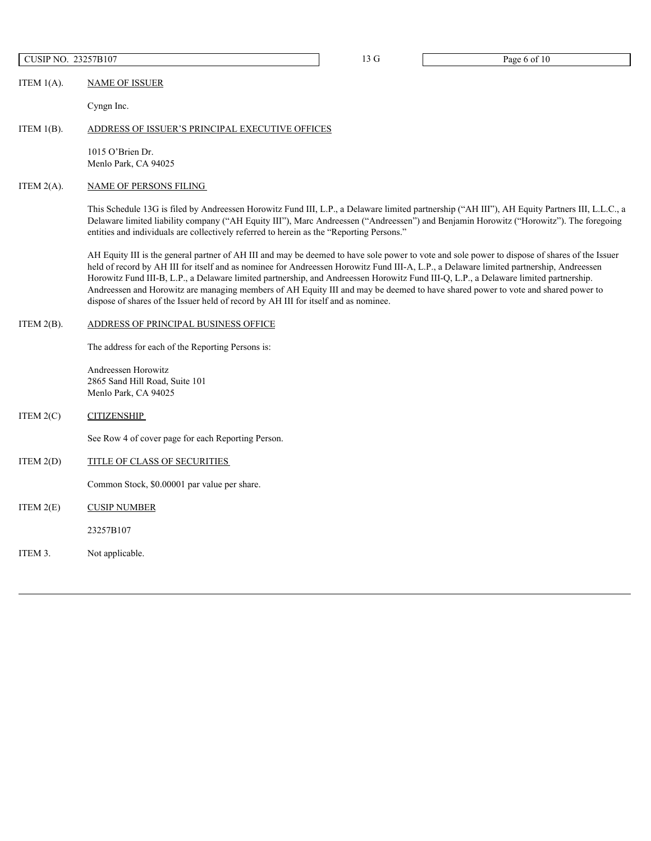# CUSIP NO. 23257B107 13 G Page 6 of 10

ITEM 1(A). NAME OF ISSUER

Cyngn Inc.

# ITEM 1(B). ADDRESS OF ISSUER'S PRINCIPAL EXECUTIVE OFFICES

1015 O'Brien Dr. Menlo Park, CA 94025

# ITEM 2(A). NAME OF PERSONS FILING

This Schedule 13G is filed by Andreessen Horowitz Fund III, L.P., a Delaware limited partnership ("AH III"), AH Equity Partners III, L.L.C., a Delaware limited liability company ("AH Equity III"), Marc Andreessen ("Andreessen") and Benjamin Horowitz ("Horowitz"). The foregoing entities and individuals are collectively referred to herein as the "Reporting Persons."

AH Equity III is the general partner of AH III and may be deemed to have sole power to vote and sole power to dispose of shares of the Issuer held of record by AH III for itself and as nominee for Andreessen Horowitz Fund III-A, L.P., a Delaware limited partnership, Andreessen Horowitz Fund III-B, L.P., a Delaware limited partnership, and Andreessen Horowitz Fund III-Q, L.P., a Delaware limited partnership. Andreessen and Horowitz are managing members of AH Equity III and may be deemed to have shared power to vote and shared power to dispose of shares of the Issuer held of record by AH III for itself and as nominee.

#### ITEM 2(B). ADDRESS OF PRINCIPAL BUSINESS OFFICE

The address for each of the Reporting Persons is:

Andreessen Horowitz 2865 Sand Hill Road, Suite 101 Menlo Park, CA 94025

# ITEM 2(C) CITIZENSHIP

See Row 4 of cover page for each Reporting Person.

# ITEM 2(D) TITLE OF CLASS OF SECURITIES

Common Stock, \$0.00001 par value per share.

ITEM 2(E) CUSIP NUMBER

23257B107

ITEM 3. Not applicable.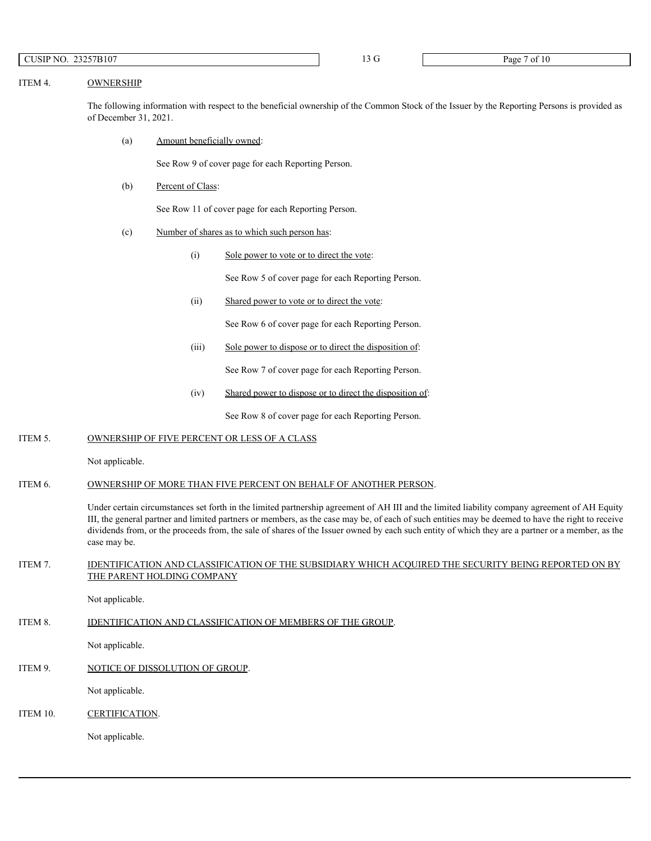# ITEM 4. OWNERSHIP

The following information with respect to the beneficial ownership of the Common Stock of the Issuer by the Reporting Persons is provided as of December 31, 2021.

(a) Amount beneficially owned:

See Row 9 of cover page for each Reporting Person.

(b) Percent of Class:

See Row 11 of cover page for each Reporting Person.

- (c) Number of shares as to which such person has:
	- (i) Sole power to vote or to direct the vote:

See Row 5 of cover page for each Reporting Person.

(ii) Shared power to vote or to direct the vote:

See Row 6 of cover page for each Reporting Person.

(iii) Sole power to dispose or to direct the disposition of:

See Row 7 of cover page for each Reporting Person.

(iv) Shared power to dispose or to direct the disposition of:

See Row 8 of cover page for each Reporting Person.

ITEM 5. OWNERSHIP OF FIVE PERCENT OR LESS OF A CLASS

Not applicable.

ITEM 6. OWNERSHIP OF MORE THAN FIVE PERCENT ON BEHALF OF ANOTHER PERSON.

Under certain circumstances set forth in the limited partnership agreement of AH III and the limited liability company agreement of AH Equity III, the general partner and limited partners or members, as the case may be, of each of such entities may be deemed to have the right to receive dividends from, or the proceeds from, the sale of shares of the Issuer owned by each such entity of which they are a partner or a member, as the case may be.

# ITEM 7. IDENTIFICATION AND CLASSIFICATION OF THE SUBSIDIARY WHICH ACQUIRED THE SECURITY BEING REPORTED ON BY THE PARENT HOLDING COMPANY

Not applicable.

ITEM 8. IDENTIFICATION AND CLASSIFICATION OF MEMBERS OF THE GROUP.

Not applicable.

ITEM 9. NOTICE OF DISSOLUTION OF GROUP.

Not applicable.

ITEM 10. CERTIFICATION.

Not applicable.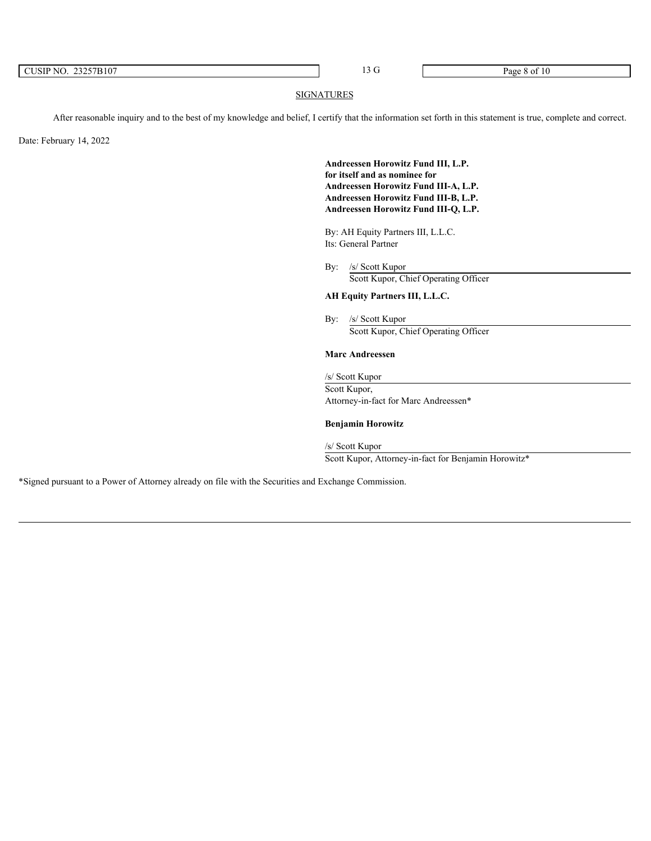| 23257B107<br>CUSIP NO. | $ -$ | Page<br>.<br>: 8 OI |  |
|------------------------|------|---------------------|--|
|                        |      |                     |  |

# **SIGNATURES**

After reasonable inquiry and to the best of my knowledge and belief, I certify that the information set forth in this statement is true, complete and correct.

Date: February 14, 2022

**Andreessen Horowitz Fund III, L.P. for itself and as nominee for Andreessen Horowitz Fund III-A, L.P. Andreessen Horowitz Fund III-B, L.P. Andreessen Horowitz Fund III-Q, L.P.**

By: AH Equity Partners III, L.L.C. Its: General Partner

By: /s/ Scott Kupor Scott Kupor, Chief Operating Officer

# **AH Equity Partners III, L.L.C.**

By: /s/ Scott Kupor Scott Kupor, Chief Operating Officer

# **Marc Andreessen**

/s/ Scott Kupor Scott Kupor, Attorney-in-fact for Marc Andreessen\*

# **Benjamin Horowitz**

/s/ Scott Kupor Scott Kupor, Attorney-in-fact for Benjamin Horowitz\*

\*Signed pursuant to a Power of Attorney already on file with the Securities and Exchange Commission.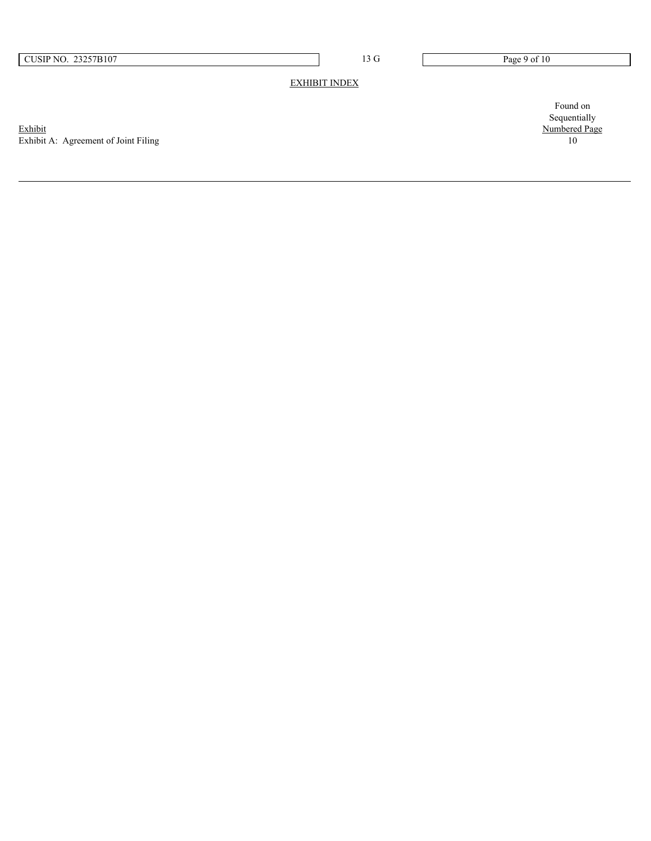# EXHIBIT INDEX

Exhibit Numbered Page Exhibit A: Agreement of Joint Filing 10

Found on Sequentially<br>Numbered Page<br>10